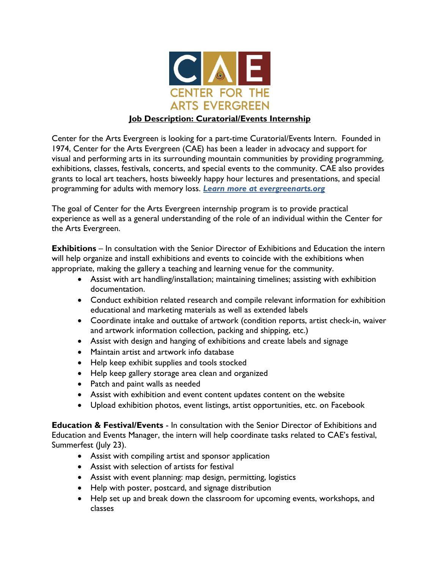

## **Job Description: Curatorial/Events Internship**

Center for the Arts Evergreen is looking for a part-time Curatorial/Events Intern. Founded in 1974, Center for the Arts Evergreen (CAE) has been a leader in advocacy and support for visual and performing arts in its surrounding mountain communities by providing programming, exhibitions, classes, festivals, concerts, and special events to the community. CAE also provides grants to local art teachers, hosts biweekly happy hour lectures and presentations, and special programming for adults with memory loss. *Learn more at evergreenarts.org*

The goal of Center for the Arts Evergreen internship program is to provide practical experience as well as a general understanding of the role of an individual within the Center for the Arts Evergreen.

**Exhibitions** – In consultation with the Senior Director of Exhibitions and Education the intern will help organize and install exhibitions and events to coincide with the exhibitions when appropriate, making the gallery a teaching and learning venue for the community.

- Assist with art handling/installation; maintaining timelines; assisting with exhibition documentation.
- Conduct exhibition related research and compile relevant information for exhibition educational and marketing materials as well as extended labels
- Coordinate intake and outtake of artwork (condition reports, artist check-in, waiver and artwork information collection, packing and shipping, etc.)
- Assist with design and hanging of exhibitions and create labels and signage
- Maintain artist and artwork info database
- Help keep exhibit supplies and tools stocked
- Help keep gallery storage area clean and organized
- Patch and paint walls as needed
- Assist with exhibition and event content updates content on the website
- Upload exhibition photos, event listings, artist opportunities, etc. on Facebook

**Education & Festival/Events** - In consultation with the Senior Director of Exhibitions and Education and Events Manager, the intern will help coordinate tasks related to CAE's festival, Summerfest (July 23).

- Assist with compiling artist and sponsor application
- Assist with selection of artists for festival
- Assist with event planning: map design, permitting, logistics
- Help with poster, postcard, and signage distribution
- Help set up and break down the classroom for upcoming events, workshops, and classes